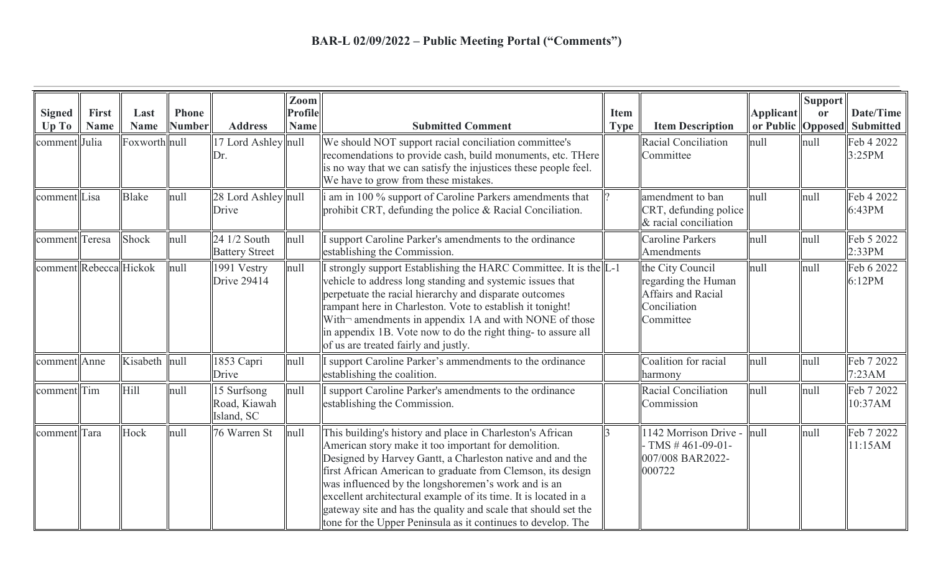| <b>Signed</b><br>Up To | <b>First</b><br><b>Name</b> | Last<br><b>Name</b> | <b>Phone</b><br><b>Number</b> | <b>Address</b>                            | Zoom<br><b>Profile</b><br><b>Name</b> | <b>Submitted Comment</b>                                                                                                                                                                                                                                                                                                                                                                                                                                                                                  | <b>Item</b><br><b>Type</b> | <b>Item Description</b>                                                                    | <b>Applicant</b><br>or Public   Opposed | <b>Support</b><br><b>or</b> | Date/Time<br><b>Submitted</b> |
|------------------------|-----------------------------|---------------------|-------------------------------|-------------------------------------------|---------------------------------------|-----------------------------------------------------------------------------------------------------------------------------------------------------------------------------------------------------------------------------------------------------------------------------------------------------------------------------------------------------------------------------------------------------------------------------------------------------------------------------------------------------------|----------------------------|--------------------------------------------------------------------------------------------|-----------------------------------------|-----------------------------|-------------------------------|
| comment Julia          |                             | Foxworth null       |                               | 17 Lord Ashley null<br>Dr.                |                                       | We should NOT support racial conciliation committee's<br>recomendations to provide cash, build monuments, etc. THere<br>is no way that we can satisfy the injustices these people feel.<br>We have to grow from these mistakes.                                                                                                                                                                                                                                                                           |                            | Racial Conciliation<br>Committee                                                           | null                                    | null                        | Feb 4 2022<br>3:25PM          |
| comment Lisa           |                             | <b>Blake</b>        | null                          | 28 Lord Ashley null<br>Drive              |                                       | i am in 100 % support of Caroline Parkers amendments that<br>prohibit CRT, defunding the police & Racial Conciliation.                                                                                                                                                                                                                                                                                                                                                                                    |                            | amendment to ban<br>CRT, defunding police<br>& racial conciliation                         | null                                    | null                        | Feb 4 2022<br>6:43PM          |
| comment Teresa         |                             | Shock               | null                          | 24 1/2 South<br><b>Battery Street</b>     | null                                  | I support Caroline Parker's amendments to the ordinance<br>establishing the Commission.                                                                                                                                                                                                                                                                                                                                                                                                                   |                            | <b>Caroline Parkers</b><br>Amendments                                                      | null                                    | null                        | Feb 5 2022<br>2:33PM          |
| comment Rebecca Hickok |                             |                     | null                          | 1991 Vestry<br>Drive 29414                | null                                  | I strongly support Establishing the HARC Committee. It is the L-1<br>vehicle to address long standing and systemic issues that<br>perpetuate the racial hierarchy and disparate outcomes<br>rampant here in Charleston. Vote to establish it tonight!<br>With-amendments in appendix 1A and with NONE of those<br>in appendix 1B. Vote now to do the right thing- to assure all<br>of us are treated fairly and justly.                                                                                   |                            | the City Council<br>regarding the Human<br>Affairs and Racial<br>Conciliation<br>Committee | null                                    | null                        | Feb 6 2022<br>6:12PM          |
| comment Anne           |                             | Kisabeth null       |                               | 1853 Capri<br>Drive                       | null                                  | I support Caroline Parker's ammendments to the ordinance<br>establishing the coalition.                                                                                                                                                                                                                                                                                                                                                                                                                   |                            | Coalition for racial<br>harmony                                                            | null                                    | null                        | Feb 7 2022<br>7:23AM          |
| comment Tim            |                             | Hill                | null                          | 15 Surfsong<br>Road, Kiawah<br>Island, SC | null                                  | I support Caroline Parker's amendments to the ordinance<br>establishing the Commission.                                                                                                                                                                                                                                                                                                                                                                                                                   |                            | Racial Conciliation<br>Commission                                                          | null                                    | null                        | Feb 7 2022<br>10:37AM         |
| comment Tara           |                             | Hock                | null                          | 76 Warren St                              | null                                  | This building's history and place in Charleston's African<br>American story make it too important for demolition.<br>Designed by Harvey Gantt, a Charleston native and and the<br>first African American to graduate from Clemson, its design<br>was influenced by the longshoremen's work and is an<br>excellent architectural example of its time. It is located in a<br>gateway site and has the quality and scale that should set the<br>tone for the Upper Peninsula as it continues to develop. The |                            | 142 Morrison Drive -<br>TMS $#461-09-01-$<br>007/008 BAR2022-<br>000722                    | null                                    | null                        | Feb 7 2022<br>11:15AM         |